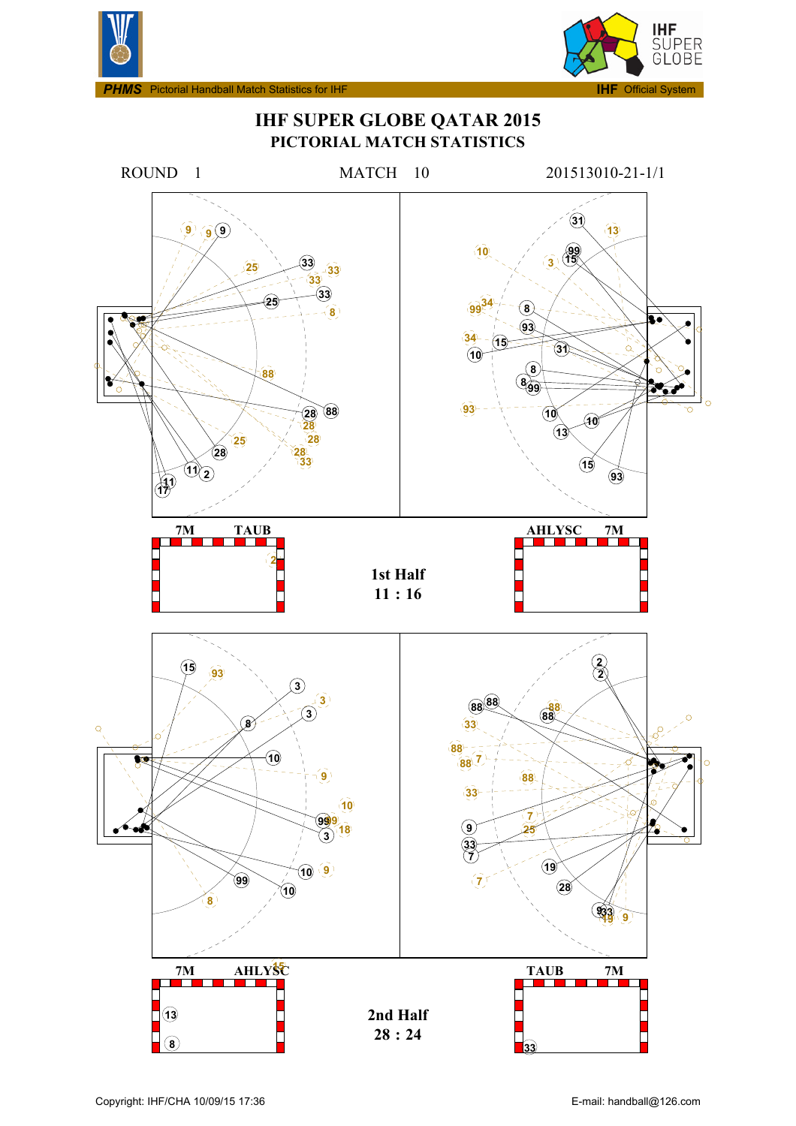



**IHF SUPER GLOBE QATAR 2015 PICTORIAL MATCH STATISTICS**

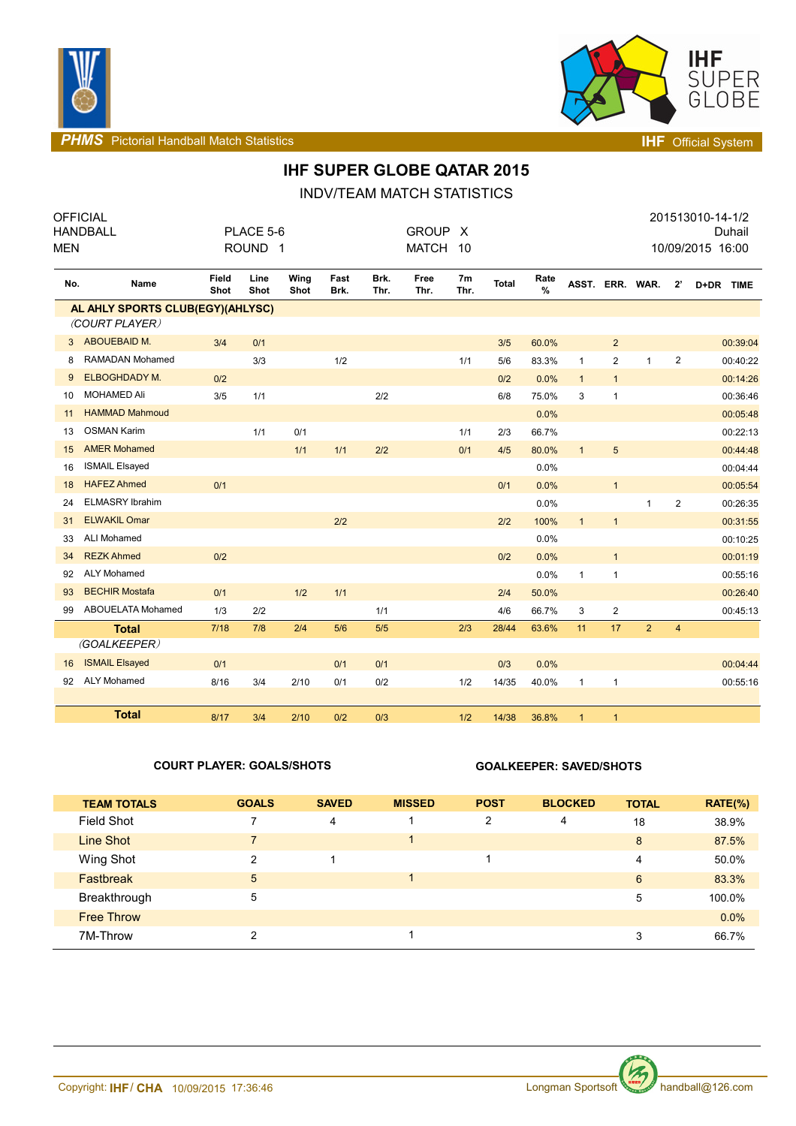



**PHMS** Pictorial Handball Match Statistics **INF** Official System

# **IHF SUPER GLOBE QATAR 2015**

INDV/TEAM MATCH STATISTICS

| <b>MEN</b> | <b>OFFICIAL</b><br><b>HANDBALL</b> |               | PLACE 5-6<br>ROUND <sub>1</sub> |              |              |              | <b>GROUP</b><br><b>MATCH</b> | X<br>10                |              |              |                 |                         |                |                  | 201513010-14-1/2<br>10/09/2015 16:00 | Duhail   |
|------------|------------------------------------|---------------|---------------------------------|--------------|--------------|--------------|------------------------------|------------------------|--------------|--------------|-----------------|-------------------------|----------------|------------------|--------------------------------------|----------|
| No.        | Name                               | Field<br>Shot | Line<br>Shot                    | Wing<br>Shot | Fast<br>Brk. | Brk.<br>Thr. | Free<br>Thr.                 | 7 <sub>m</sub><br>Thr. | <b>Total</b> | Rate<br>$\%$ | ASST. ERR. WAR. |                         |                | 2'               | D+DR TIME                            |          |
|            | AL AHLY SPORTS CLUB(EGY)(AHLYSC)   |               |                                 |              |              |              |                              |                        |              |              |                 |                         |                |                  |                                      |          |
|            | (COURT PLAYER)                     |               |                                 |              |              |              |                              |                        |              |              |                 |                         |                |                  |                                      |          |
|            | 3 ABOUEBAID M.                     | 3/4           | 0/1                             |              |              |              |                              |                        | 3/5          | 60.0%        |                 | $\overline{2}$          |                |                  |                                      | 00:39:04 |
| 8          | <b>RAMADAN Mohamed</b>             |               | 3/3                             |              | 1/2          |              |                              | 1/1                    | 5/6          | 83.3%        | $\mathbf{1}$    | $\mathbf{2}$            | 1              | $\boldsymbol{2}$ |                                      | 00:40:22 |
| 9          | <b>ELBOGHDADY M.</b>               | 0/2           |                                 |              |              |              |                              |                        | 0/2          | 0.0%         | $\mathbf{1}$    | $\mathbf{1}$            |                |                  |                                      | 00:14:26 |
| 10         | <b>MOHAMED Ali</b>                 | 3/5           | 1/1                             |              |              | 2/2          |                              |                        | 6/8          | 75.0%        | 3               | $\mathbf{1}$            |                |                  |                                      | 00:36:46 |
| 11         | <b>HAMMAD Mahmoud</b>              |               |                                 |              |              |              |                              |                        |              | 0.0%         |                 |                         |                |                  |                                      | 00:05:48 |
| 13         | <b>OSMAN Karim</b>                 |               | 1/1                             | 0/1          |              |              |                              | 1/1                    | 2/3          | 66.7%        |                 |                         |                |                  |                                      | 00:22:13 |
| 15         | <b>AMER Mohamed</b>                |               |                                 | 1/1          | 1/1          | 2/2          |                              | 0/1                    | 4/5          | 80.0%        | $\overline{1}$  | $5\phantom{.0}$         |                |                  |                                      | 00:44:48 |
| 16         | <b>ISMAIL Elsayed</b>              |               |                                 |              |              |              |                              |                        |              | 0.0%         |                 |                         |                |                  |                                      | 00:04:44 |
| 18         | <b>HAFEZ Ahmed</b>                 | 0/1           |                                 |              |              |              |                              |                        | 0/1          | 0.0%         |                 | $\mathbf{1}$            |                |                  |                                      | 00:05:54 |
| 24         | <b>ELMASRY Ibrahim</b>             |               |                                 |              |              |              |                              |                        |              | 0.0%         |                 |                         | $\mathbf{1}$   | $\mathbf{2}$     |                                      | 00:26:35 |
| 31         | <b>ELWAKIL Omar</b>                |               |                                 |              | 2/2          |              |                              |                        | 2/2          | 100%         | $\mathbf{1}$    | $\mathbf{1}$            |                |                  |                                      | 00:31:55 |
| 33         | <b>ALI Mohamed</b>                 |               |                                 |              |              |              |                              |                        |              | 0.0%         |                 |                         |                |                  |                                      | 00:10:25 |
| 34         | <b>REZK Ahmed</b>                  | 0/2           |                                 |              |              |              |                              |                        | 0/2          | 0.0%         |                 | $\mathbf{1}$            |                |                  |                                      | 00:01:19 |
| 92         | <b>ALY Mohamed</b>                 |               |                                 |              |              |              |                              |                        |              | 0.0%         | $\mathbf{1}$    | 1                       |                |                  |                                      | 00:55:16 |
| 93         | <b>BECHIR Mostafa</b>              | 0/1           |                                 | 1/2          | 1/1          |              |                              |                        | 2/4          | 50.0%        |                 |                         |                |                  |                                      | 00:26:40 |
| 99         | ABOUELATA Mohamed                  | 1/3           | 2/2                             |              |              | 1/1          |                              |                        | 4/6          | 66.7%        | 3               | $\overline{\mathbf{c}}$ |                |                  |                                      | 00:45:13 |
|            | <b>Total</b>                       | 7/18          | 7/8                             | 2/4          | 5/6          | 5/5          |                              | 2/3                    | 28/44        | 63.6%        | 11              | 17                      | $\overline{2}$ | $\overline{4}$   |                                      |          |
|            | (GOALKEEPER)                       |               |                                 |              |              |              |                              |                        |              |              |                 |                         |                |                  |                                      |          |
| 16         | <b>ISMAIL Elsayed</b>              | 0/1           |                                 |              | 0/1          | 0/1          |                              |                        | 0/3          | 0.0%         |                 |                         |                |                  |                                      | 00:04:44 |
| 92         | <b>ALY Mohamed</b>                 | 8/16          | 3/4                             | 2/10         | 0/1          | 0/2          |                              | 1/2                    | 14/35        | 40.0%        | $\mathbf{1}$    | 1                       |                |                  |                                      | 00:55:16 |
|            |                                    |               |                                 |              |              |              |                              |                        |              |              |                 |                         |                |                  |                                      |          |
|            | <b>Total</b>                       | 8/17          | 3/4                             | 2/10         | 0/2          | 0/3          |                              | 1/2                    | 14/38        | 36.8%        | $\mathbf{1}$    | $\mathbf{1}$            |                |                  |                                      |          |

### **COURT PLAYER: GOALS/SHOTS GOALKEEPER: SAVED/SHOTS**

| <b>TEAM TOTALS</b> | <b>GOALS</b>   | <b>SAVED</b> | <b>MISSED</b> | <b>POST</b> | <b>BLOCKED</b> | <b>TOTAL</b> | $RATE(\%)$ |
|--------------------|----------------|--------------|---------------|-------------|----------------|--------------|------------|
| Field Shot         | 7              | 4            |               | 2           | 4              | 18           | 38.9%      |
| Line Shot          | $\overline{7}$ |              |               |             |                | 8            | 87.5%      |
| Wing Shot          | 2              |              |               |             |                | 4            | 50.0%      |
| <b>Fastbreak</b>   | 5              |              |               |             |                | 6            | 83.3%      |
| Breakthrough       | 5              |              |               |             |                | 5            | 100.0%     |
| <b>Free Throw</b>  |                |              |               |             |                |              | $0.0\%$    |
| 7M-Throw           | ົ              |              |               |             |                | 3            | 66.7%      |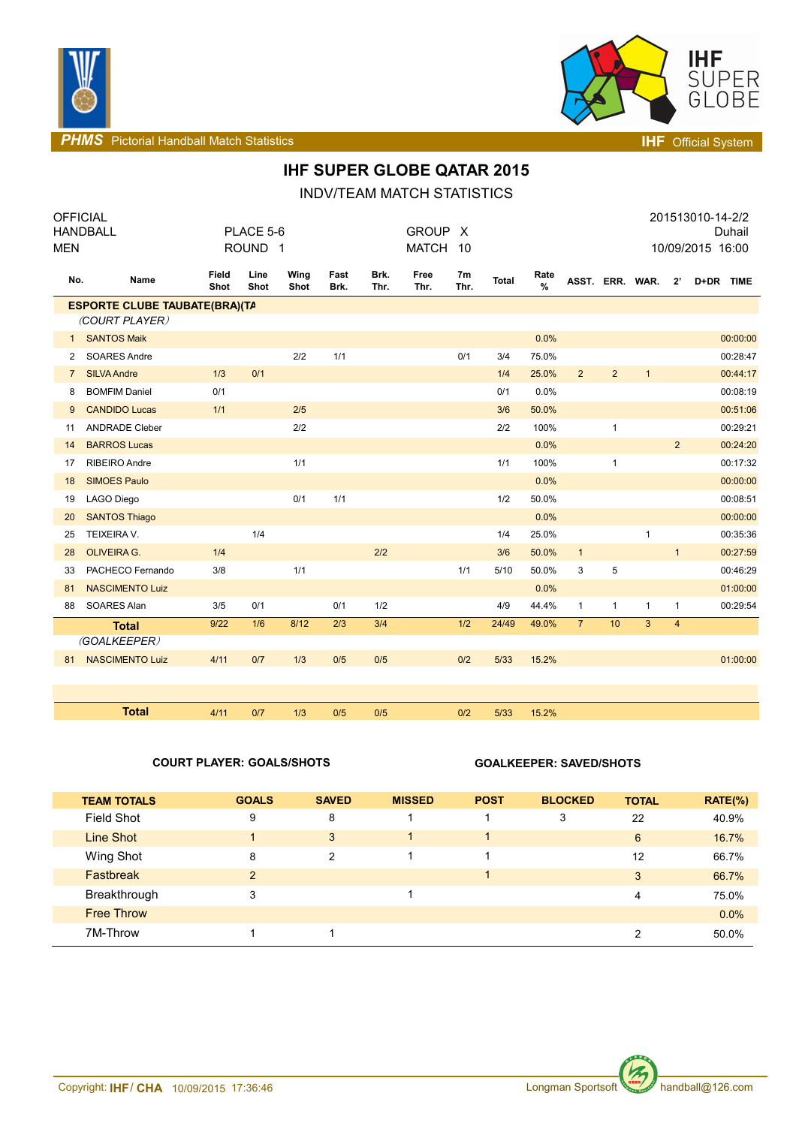



**PHMS** Pictorial Handball Match Statistics **Intervalse and Contract Contract Contract Contract Contract Contract Contract Contract Contract Contract Contract Contract Contract Contract Contract Contract Contract Contract C** 

## **IHF SUPER GLOBE QATAR 2015**

INDV/TEAM MATCH STATISTICS

| <b>OFFICIAL</b>                      |                        |               |                    |              |              |              |              |                        |              |           |                |                |                 |                | 201513010-14-2/2 |
|--------------------------------------|------------------------|---------------|--------------------|--------------|--------------|--------------|--------------|------------------------|--------------|-----------|----------------|----------------|-----------------|----------------|------------------|
|                                      | <b>HANDBALL</b>        |               | PLACE 5-6          |              |              |              | <b>GROUP</b> | $\mathsf{X}$           |              |           |                |                |                 |                | Duhail           |
| <b>MEN</b>                           |                        |               | ROUND <sub>1</sub> |              |              |              | <b>MATCH</b> | -10                    |              |           |                |                |                 |                | 10/09/2015 16:00 |
| No.                                  | Name                   | Field<br>Shot | Line<br>Shot       | Wing<br>Shot | Fast<br>Brk. | Brk.<br>Thr. | Free<br>Thr. | 7 <sub>m</sub><br>Thr. | <b>Total</b> | Rate<br>% |                |                | ASST. ERR. WAR. | $2^{\prime}$   | D+DR TIME        |
| <b>ESPORTE CLUBE TAUBATE(BRA)(TA</b> |                        |               |                    |              |              |              |              |                        |              |           |                |                |                 |                |                  |
|                                      | (COURT PLAYER)         |               |                    |              |              |              |              |                        |              |           |                |                |                 |                |                  |
| $\mathbf{1}$                         | <b>SANTOS Maik</b>     |               |                    |              |              |              |              |                        |              | 0.0%      |                |                |                 |                | 00:00:00         |
| 2                                    | <b>SOARES Andre</b>    |               |                    | 2/2          | 1/1          |              |              | 0/1                    | 3/4          | 75.0%     |                |                |                 |                | 00:28:47         |
| $\overline{7}$                       | <b>SILVA Andre</b>     | 1/3           | 0/1                |              |              |              |              |                        | 1/4          | 25.0%     | $\overline{2}$ | $\overline{2}$ | $\mathbf{1}$    |                | 00:44:17         |
| 8                                    | <b>BOMFIM Daniel</b>   | 0/1           |                    |              |              |              |              |                        | 0/1          | 0.0%      |                |                |                 |                | 00:08:19         |
| 9                                    | <b>CANDIDO Lucas</b>   | 1/1           |                    | 2/5          |              |              |              |                        | 3/6          | 50.0%     |                |                |                 |                | 00:51:06         |
| 11                                   | <b>ANDRADE Cleber</b>  |               |                    | 2/2          |              |              |              |                        | 2/2          | 100%      |                | $\mathbf{1}$   |                 |                | 00:29:21         |
| 14                                   | <b>BARROS Lucas</b>    |               |                    |              |              |              |              |                        |              | 0.0%      |                |                |                 | $\overline{2}$ | 00:24:20         |
| 17                                   | <b>RIBEIRO Andre</b>   |               |                    | 1/1          |              |              |              |                        | 1/1          | 100%      |                | $\mathbf{1}$   |                 |                | 00:17:32         |
| 18                                   | <b>SIMOES Paulo</b>    |               |                    |              |              |              |              |                        |              | 0.0%      |                |                |                 |                | 00:00:00         |
| 19                                   | LAGO Diego             |               |                    | 0/1          | 1/1          |              |              |                        | 1/2          | 50.0%     |                |                |                 |                | 00:08:51         |
| 20                                   | <b>SANTOS Thiago</b>   |               |                    |              |              |              |              |                        |              | 0.0%      |                |                |                 |                | 00:00:00         |
| 25                                   | TEIXEIRA V.            |               | 1/4                |              |              |              |              |                        | 1/4          | 25.0%     |                |                | 1               |                | 00:35:36         |
| 28                                   | <b>OLIVEIRA G.</b>     | 1/4           |                    |              |              | 2/2          |              |                        | 3/6          | 50.0%     | $\mathbf{1}$   |                |                 | $\mathbf{1}$   | 00:27:59         |
| 33                                   | PACHECO Fernando       | 3/8           |                    | 1/1          |              |              |              | 1/1                    | 5/10         | 50.0%     | 3              | 5              |                 |                | 00:46:29         |
| 81                                   | <b>NASCIMENTO Luiz</b> |               |                    |              |              |              |              |                        |              | 0.0%      |                |                |                 |                | 01:00:00         |
| 88                                   | SOARES Alan            | 3/5           | 0/1                |              | 0/1          | 1/2          |              |                        | 4/9          | 44.4%     | $\mathbf{1}$   | $\mathbf{1}$   | 1               | $\mathbf{1}$   | 00:29:54         |
|                                      | <b>Total</b>           | 9/22          | 1/6                | 8/12         | 2/3          | 3/4          |              | 1/2                    | 24/49        | 49.0%     | $\overline{7}$ | 10             | 3               | $\overline{4}$ |                  |
|                                      | (GOALKEEPER)           |               |                    |              |              |              |              |                        |              |           |                |                |                 |                |                  |
| 81                                   | <b>NASCIMENTO Luiz</b> | 4/11          | 0/7                | 1/3          | 0/5          | 0/5          |              | 0/2                    | 5/33         | 15.2%     |                |                |                 |                | 01:00:00         |
|                                      |                        |               |                    |              |              |              |              |                        |              |           |                |                |                 |                |                  |
|                                      |                        |               |                    |              |              |              |              |                        |              |           |                |                |                 |                |                  |
|                                      | <b>Total</b>           | 4/11          | 0/7                | 1/3          | 0/5          | 0/5          |              | 0/2                    | 5/33         | 15.2%     |                |                |                 |                |                  |

### **COURT PLAYER: GOALS/SHOTS GOALKEEPER: SAVED/SHOTS**

| <b>TEAM TOTALS</b> | <b>GOALS</b>         | <b>SAVED</b> | <b>MISSED</b> | <b>POST</b> | <b>BLOCKED</b> | <b>TOTAL</b> | $RATE(\%)$ |
|--------------------|----------------------|--------------|---------------|-------------|----------------|--------------|------------|
| <b>Field Shot</b>  | 9                    | 8            |               |             | 3              | 22           | 40.9%      |
| Line Shot          | $\blacktriangleleft$ | 3            |               |             |                | 6            | 16.7%      |
| Wing Shot          | 8                    | 2            |               |             |                | 12           | 66.7%      |
| Fastbreak          | $\overline{2}$       |              |               |             |                | 3            | 66.7%      |
| Breakthrough       | 3                    |              |               |             |                | 4            | 75.0%      |
| <b>Free Throw</b>  |                      |              |               |             |                |              | 0.0%       |
| 7M-Throw           |                      |              |               |             |                | 2            | 50.0%      |